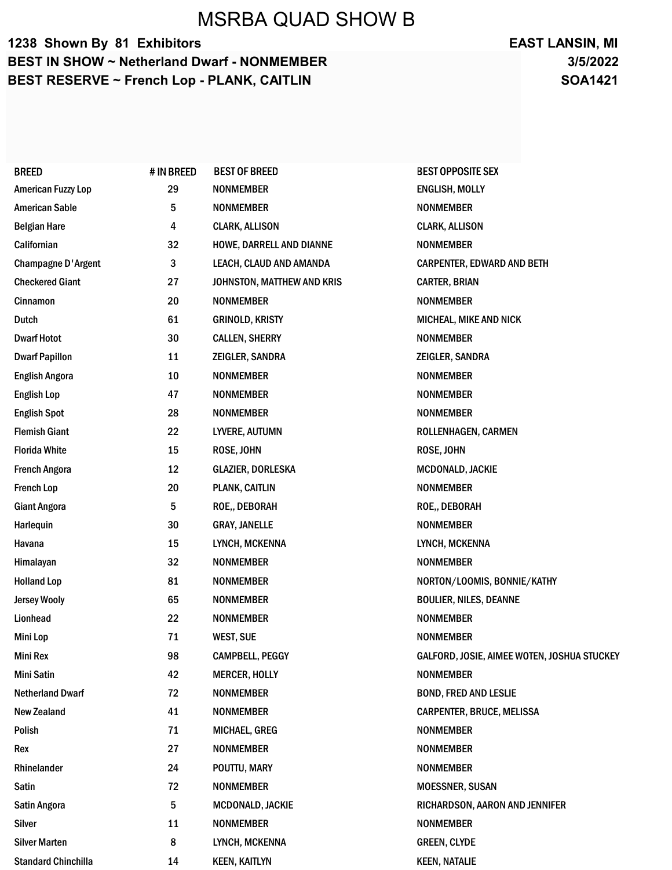# MSRBA QUAD SHOW B

### 1238 Shown By 81 Exhibitors BEST IN SHOW ~ Netherland Dwarf - NONMEMBER BEST RESERVE ~ French Lop - PLANK, CAITLIN

### 3/5/2022 EAST LANSIN, MI SOA1421

| <b>BREED</b>               | # IN BREED | <b>BEST OF BREED</b>       | <b>BEST OPPOSITE SEX</b>                    |
|----------------------------|------------|----------------------------|---------------------------------------------|
| <b>American Fuzzy Lop</b>  | 29         | <b>NONMEMBER</b>           | ENGLISH, MOLLY                              |
| <b>American Sable</b>      | 5          | <b>NONMEMBER</b>           | <b>NONMEMBER</b>                            |
| <b>Belgian Hare</b>        | 4          | <b>CLARK, ALLISON</b>      | <b>CLARK, ALLISON</b>                       |
| Californian                | 32         | HOWE, DARRELL AND DIANNE   | <b>NONMEMBER</b>                            |
| <b>Champagne D'Argent</b>  | 3          | LEACH, CLAUD AND AMANDA    | <b>CARPENTER, EDWARD AND BETH</b>           |
| <b>Checkered Giant</b>     | 27         | JOHNSTON, MATTHEW AND KRIS | <b>CARTER, BRIAN</b>                        |
| Cinnamon                   | 20         | <b>NONMEMBER</b>           | <b>NONMEMBER</b>                            |
| <b>Dutch</b>               | 61         | <b>GRINOLD, KRISTY</b>     | <b>MICHEAL, MIKE AND NICK</b>               |
| <b>Dwarf Hotot</b>         | 30         | <b>CALLEN, SHERRY</b>      | <b>NONMEMBER</b>                            |
| <b>Dwarf Papillon</b>      | 11         | <b>ZEIGLER, SANDRA</b>     | ZEIGLER, SANDRA                             |
| <b>English Angora</b>      | 10         | <b>NONMEMBER</b>           | <b>NONMEMBER</b>                            |
| <b>English Lop</b>         | 47         | <b>NONMEMBER</b>           | <b>NONMEMBER</b>                            |
| <b>English Spot</b>        | 28         | <b>NONMEMBER</b>           | <b>NONMEMBER</b>                            |
| <b>Flemish Giant</b>       | 22         | LYVERE, AUTUMN             | ROLLENHAGEN, CARMEN                         |
| <b>Florida White</b>       | 15         | ROSE, JOHN                 | ROSE, JOHN                                  |
| <b>French Angora</b>       | 12         | <b>GLAZIER, DORLESKA</b>   | MCDONALD, JACKIE                            |
| <b>French Lop</b>          | 20         | PLANK, CAITLIN             | <b>NONMEMBER</b>                            |
| <b>Giant Angora</b>        | 5          | ROE,, DEBORAH              | ROE,, DEBORAH                               |
| Harlequin                  | 30         | <b>GRAY, JANELLE</b>       | <b>NONMEMBER</b>                            |
| Havana                     | 15         | LYNCH, MCKENNA             | LYNCH, MCKENNA                              |
| Himalayan                  | 32         | <b>NONMEMBER</b>           | <b>NONMEMBER</b>                            |
| <b>Holland Lop</b>         | 81         | <b>NONMEMBER</b>           | NORTON/LOOMIS, BONNIE/KATHY                 |
| <b>Jersey Wooly</b>        | 65         | <b>NONMEMBER</b>           | <b>BOULIER, NILES, DEANNE</b>               |
| Lionhead                   | 22         | <b>NONMEMBER</b>           | <b>NONMEMBER</b>                            |
| Mini Lop                   | 71         | <b>WEST, SUE</b>           | <b>NONMEMBER</b>                            |
| Mini Rex                   | 98         | <b>CAMPBELL, PEGGY</b>     | GALFORD, JOSIE, AIMEE WOTEN, JOSHUA STUCKEY |
| Mini Satin                 | 42         | <b>MERCER, HOLLY</b>       | <b>NONMEMBER</b>                            |
| <b>Netherland Dwarf</b>    | 72         | <b>NONMEMBER</b>           | <b>BOND, FRED AND LESLIE</b>                |
| <b>New Zealand</b>         | 41         | <b>NONMEMBER</b>           | <b>CARPENTER, BRUCE, MELISSA</b>            |
| Polish                     | 71         | <b>MICHAEL, GREG</b>       | <b>NONMEMBER</b>                            |
| Rex                        | 27         | <b>NONMEMBER</b>           | <b>NONMEMBER</b>                            |
| Rhinelander                | 24         | POUTTU, MARY               | <b>NONMEMBER</b>                            |
| Satin                      | 72         | <b>NONMEMBER</b>           | <b>MOESSNER, SUSAN</b>                      |
| Satin Angora               | 5          | MCDONALD, JACKIE           | RICHARDSON, AARON AND JENNIFER              |
| Silver                     | 11         | <b>NONMEMBER</b>           | <b>NONMEMBER</b>                            |
| <b>Silver Marten</b>       | 8          | LYNCH, MCKENNA             | <b>GREEN, CLYDE</b>                         |
| <b>Standard Chinchilla</b> | 14         | <b>KEEN, KAITLYN</b>       | <b>KEEN, NATALIE</b>                        |